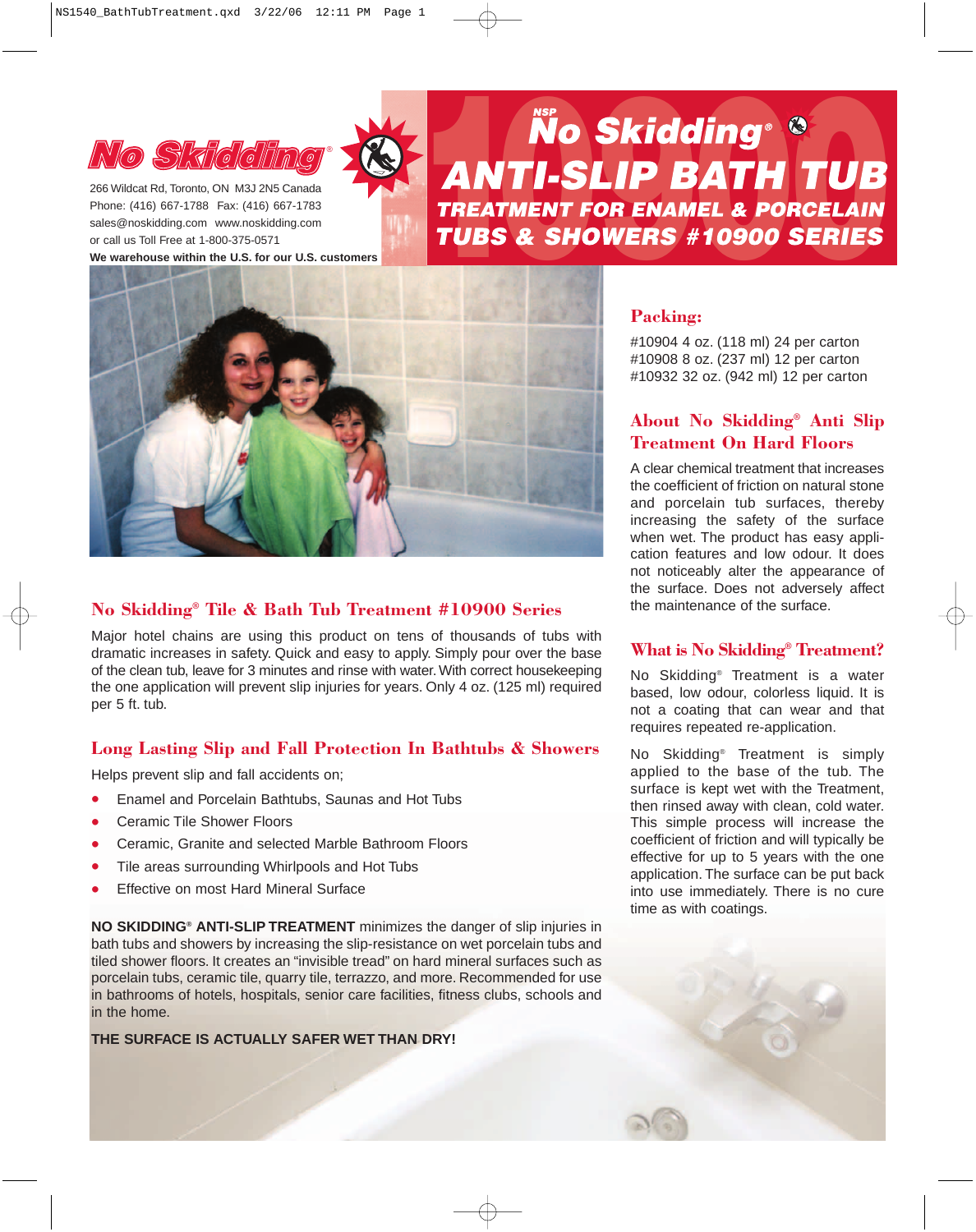

Phone: (416) 667-1788 Fax: (416) 667-1783 sales@noskidding.com www.noskidding.com or call us Toll Free at 1-800-375-0571 **We warehouse within the U.S. for our U.S. customers**

# **NO SKICLING STRIGK SEXTERED NO SKICLING**



## **No Skidding® Tile & Bath Tub Treatment #10900 Series**

Major hotel chains are using this product on tens of thousands of tubs with dramatic increases in safety. Quick and easy to apply. Simply pour over the base of the clean tub, leave for 3 minutes and rinse with water. With correct housekeeping the one application will prevent slip injuries for years. Only 4 oz. (125 ml) required per 5 ft. tub.

## **Long Lasting Slip and Fall Protection In Bathtubs & Showers**

Helps prevent slip and fall accidents on;

- Enamel and Porcelain Bathtubs, Saunas and Hot Tubs
- Ceramic Tile Shower Floors
- Ceramic, Granite and selected Marble Bathroom Floors
- Tile areas surrounding Whirlpools and Hot Tubs
- **Effective on most Hard Mineral Surface**

**NO SKIDDING® ANTI-SLIP TREATMENT** minimizes the danger of slip injuries in bath tubs and showers by increasing the slip-resistance on wet porcelain tubs and tiled shower floors. It creates an "invisible tread" on hard mineral surfaces such as porcelain tubs, ceramic tile, quarry tile, terrazzo, and more. Recommended for use in bathrooms of hotels, hospitals, senior care facilities, fitness clubs, schools and in the home.

## **THE SURFACE IS ACTUALLY SAFER WET THAN DRY!**

## **Packing:**

#10904 4 oz. (118 ml) 24 per carton #10908 8 oz. (237 ml) 12 per carton #10932 32 oz. (942 ml) 12 per carton

# **About No Skidding® Anti Slip Treatment On Hard Floors**

A clear chemical treatment that increases the coefficient of friction on natural stone and porcelain tub surfaces, thereby increasing the safety of the surface when wet. The product has easy application features and low odour. It does not noticeably alter the appearance of the surface. Does not adversely affect the maintenance of the surface.

## **What is No Skidding® Treatment?**

No Skidding® Treatment is a water based, low odour, colorless liquid. It is not a coating that can wear and that requires repeated re-application.

No Skidding® Treatment is simply applied to the base of the tub. The surface is kept wet with the Treatment, then rinsed away with clean, cold water. This simple process will increase the coefficient of friction and will typically be effective for up to 5 years with the one application. The surface can be put back into use immediately. There is no cure time as with coatings.